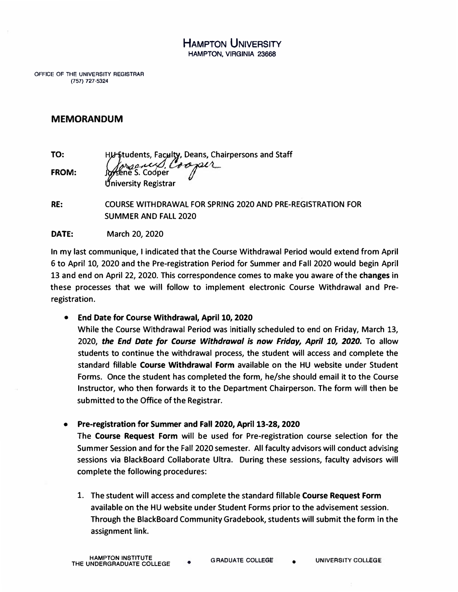HAMPTON UNIVERSITY **HAMPTON, VIRGINIA 23668** 

**OFFICE OF THE UNIVERSITY REGISTRAR (757) 727-5324** 

## **MEMORANDUM**

**TO: FROM: HJ** Students, Faculty, Deans, Chairpersons and Staff **ene S. Co�r l..-� -;-- niversity Registrar** 

**RE: COURSE WITHDRAWAL FOR SPRING 2020 AND PRE-REGISTRATION FOR SUMMER AND FALL 2020** 

**DATE: March 20, 2020** 

**In my last communique, I indicated that the Course Withdrawal Period would extend from April 6 to April 10, 2020 and the Pre-registration Period for Summer and Fall 2020 would begin April 13 and end on April 22, 2020. This correspondence comes to make you aware of the changes in these processes that we will follow to implement electronic Course Withdrawal and Preregistration.** 

**• End Date for Course Withdrawal, April 10, 2020**

**While the Course Withdrawal Period was initially scheduled to end on Friday, March 13, 2020,** *the End Date for Course Withdrawal is now Friday, April 10, 2020.* **To allow students to continue the withdrawal process, the student will access and complete the standard fillable Course Withdrawal Form available on the HU website under Student Forms. Once the student has completed the form, he/she should email it to the Course Instructor, who then forwards it to the Department Chairperson. The form will then be submitted to the Office of the Registrar.**

**• Pre-registration for Summer and Fall 2020, April 13-28, 2020**

**The Course Request Form will be used for Pre-registration course selection for the Summer Session and for the Fall 2020 semester. All faculty advisors will conduct advising sessions via BlackBoard Collaborate Ultra. During these sessions, faculty advisors will complete the following procedures:**

**1. The student will access and complete the standard fillable Course Request Form available on the HU website under Student Forms prior to the advisement session. Through the BlackBoard Community Gradebook, students will submit the form in the assignment link.**